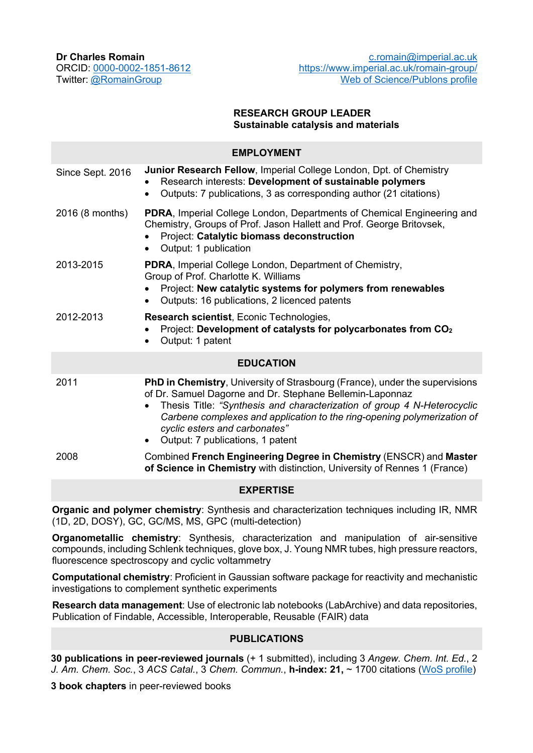**Dr Charles Romain**

ORCID: 0000-0002-1851-8612 Twitter: @RomainGroup

### **RESEARCH GROUP LEADER Sustainable catalysis and materials**

| <b>EMPLOYMENT</b> |                                                                                                                                                                                                                                                                                                                                                                                 |
|-------------------|---------------------------------------------------------------------------------------------------------------------------------------------------------------------------------------------------------------------------------------------------------------------------------------------------------------------------------------------------------------------------------|
| Since Sept. 2016  | <b>Junior Research Fellow, Imperial College London, Dpt. of Chemistry</b><br>Research interests: Development of sustainable polymers<br>Outputs: 7 publications, 3 as corresponding author (21 citations)<br>$\bullet$                                                                                                                                                          |
| 2016 (8 months)   | PDRA, Imperial College London, Departments of Chemical Engineering and<br>Chemistry, Groups of Prof. Jason Hallett and Prof. George Britovsek,<br>Project: Catalytic biomass deconstruction<br>Output: 1 publication<br>$\bullet$                                                                                                                                               |
| 2013-2015         | <b>PDRA, Imperial College London, Department of Chemistry,</b><br>Group of Prof. Charlotte K. Williams<br>Project: New catalytic systems for polymers from renewables<br>Outputs: 16 publications, 2 licenced patents<br>$\bullet$                                                                                                                                              |
| 2012-2013         | Research scientist, Econic Technologies,<br>Project: Development of catalysts for polycarbonates from CO <sub>2</sub><br>$\bullet$<br>Output: 1 patent                                                                                                                                                                                                                          |
| <b>EDUCATION</b>  |                                                                                                                                                                                                                                                                                                                                                                                 |
| 2011              | PhD in Chemistry, University of Strasbourg (France), under the supervisions<br>of Dr. Samuel Dagorne and Dr. Stephane Bellemin-Laponnaz<br>Thesis Title: "Synthesis and characterization of group 4 N-Heterocyclic<br>$\bullet$<br>Carbene complexes and application to the ring-opening polymerization of<br>cyclic esters and carbonates"<br>Output: 7 publications, 1 patent |
| 2008              | Combined French Engineering Degree in Chemistry (ENSCR) and Master<br>of Science in Chemistry with distinction, University of Rennes 1 (France)                                                                                                                                                                                                                                 |
| <b>EXPERTISE</b>  |                                                                                                                                                                                                                                                                                                                                                                                 |

**Organic and polymer chemistry**: Synthesis and characterization techniques including IR, NMR (1D, 2D, DOSY), GC, GC/MS, MS, GPC (multi-detection)

**Organometallic chemistry**: Synthesis, characterization and manipulation of air-sensitive compounds, including Schlenk techniques, glove box, J. Young NMR tubes, high pressure reactors, fluorescence spectroscopy and cyclic voltammetry

**Computational chemistry**: Proficient in Gaussian software package for reactivity and mechanistic investigations to complement synthetic experiments

**Research data management**: Use of electronic lab notebooks (LabArchive) and data repositories, Publication of Findable, Accessible, Interoperable, Reusable (FAIR) data

### **PUBLICATIONS**

**30 publications in peer-reviewed journals** (+ 1 submitted), including 3 *Angew. Chem. Int. Ed.*, 2 *J. Am. Chem. Soc.*, 3 *ACS Catal.*, 3 *Chem. Commun.*, **h-index: 21,** ~ 1700 citations (WoS profile)

**3 book chapters** in peer-reviewed books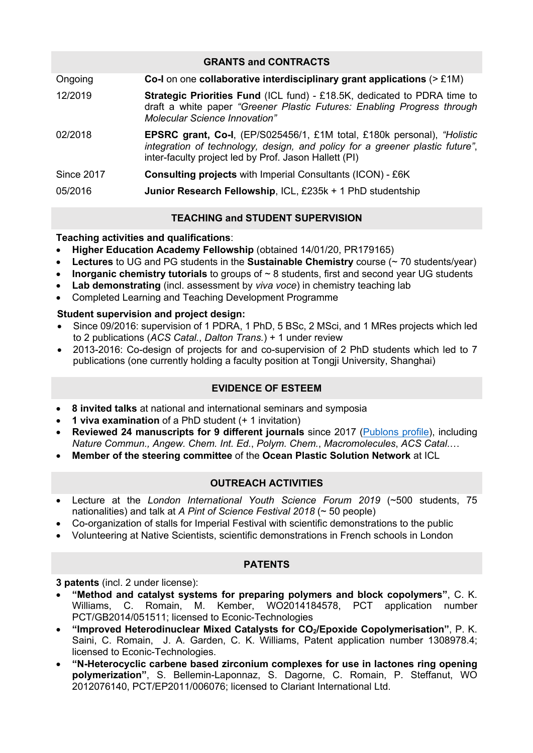| <b>GRANTS and CONTRACTS</b> |                                                                                                                                                                                                                         |  |
|-----------------------------|-------------------------------------------------------------------------------------------------------------------------------------------------------------------------------------------------------------------------|--|
| Ongoing                     | Co-I on one collaborative interdisciplinary grant applications $(>E1M)$                                                                                                                                                 |  |
| 12/2019                     | <b>Strategic Priorities Fund (ICL fund) - £18.5K, dedicated to PDRA time to</b><br>draft a white paper "Greener Plastic Futures: Enabling Progress through<br><b>Molecular Science Innovation"</b>                      |  |
| 02/2018                     | <b>EPSRC grant, Co-I, (EP/S025456/1, £1M total, £180k personal), "Holistic</b><br>integration of technology, design, and policy for a greener plastic future",<br>inter-faculty project led by Prof. Jason Hallett (PI) |  |
| <b>Since 2017</b>           | <b>Consulting projects with Imperial Consultants (ICON) - £6K</b>                                                                                                                                                       |  |
| 05/2016                     | Junior Research Fellowship, ICL, £235k + 1 PhD studentship                                                                                                                                                              |  |

# **TEACHING and STUDENT SUPERVISION**

## **Teaching activities and qualifications**:

- **Higher Education Academy Fellowship** (obtained 14/01/20, PR179165)
- **Lectures** to UG and PG students in the **Sustainable Chemistry** course (~ 70 students/year)
- **Inorganic chemistry tutorials** to groups of ~ 8 students, first and second year UG students
- **Lab demonstrating** (incl. assessment by *viva voce*) in chemistry teaching lab
- Completed Learning and Teaching Development Programme

## **Student supervision and project design:**

- Since 09/2016: supervision of 1 PDRA, 1 PhD, 5 BSc, 2 MSci, and 1 MRes projects which led to 2 publications (*ACS Catal.*, *Dalton Trans.*) + 1 under review
- 2013-2016: Co-design of projects for and co-supervision of 2 PhD students which led to 7 publications (one currently holding a faculty position at Tongji University, Shanghai)

# **EVIDENCE OF ESTEEM**

- **8 invited talks** at national and international seminars and symposia
- **1 viva examination** of a PhD student (+ 1 invitation)
- **Reviewed 24 manuscripts for 9 different journals** since 2017 (Publons profile), including *Nature Commun., Angew. Chem. Int. Ed.*, *Polym. Chem.*, *Macromolecules*, *ACS Catal*.…
- **Member of the steering committee** of the **Ocean Plastic Solution Network** at ICL

# **OUTREACH ACTIVITIES**

- Lecture at the *London International Youth Science Forum 2019* (~500 students, 75 nationalities) and talk at *A Pint of Science Festival 2018* (~ 50 people)
- Co-organization of stalls for Imperial Festival with scientific demonstrations to the public
- Volunteering at Native Scientists, scientific demonstrations in French schools in London

### **PATENTS**

**3 patents** (incl. 2 under license):

- **"Method and catalyst systems for preparing polymers and block copolymers"**, C. K. Williams, C. Romain, M. Kember, WO2014184578, PCT application number PCT/GB2014/051511; licensed to Econic-Technologies
- **"Improved Heterodinuclear Mixed Catalysts for CO2/Epoxide Copolymerisation"**, P. K. Saini, C. Romain, J. A. Garden, C. K. Williams, Patent application number 1308978.4; licensed to Econic-Technologies.
- **"N-Heterocyclic carbene based zirconium complexes for use in lactones ring opening polymerization"**, S. Bellemin-Laponnaz, S. Dagorne, C. Romain, P. Steffanut, WO 2012076140, PCT/EP2011/006076; licensed to Clariant International Ltd.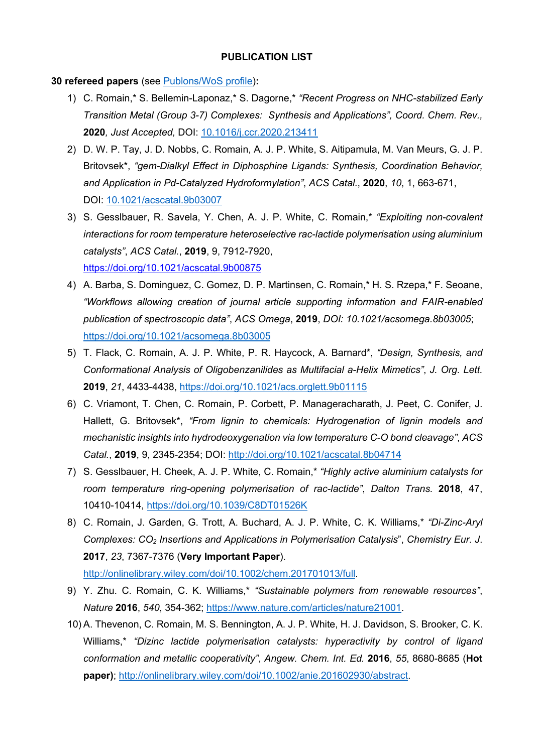#### **PUBLICATION LIST**

#### **30 refereed papers** (see Publons/WoS profile)**:**

- 1) C. Romain,\* S. Bellemin-Laponaz,\* S. Dagorne,\* *"Recent Progress on NHC-stabilized Early Transition Metal (Group 3-7) Complexes: Synthesis and Applications", Coord. Chem. Rev.,*  **2020***, Just Accepted,* DOI: 10.1016/j.ccr.2020.213411
- 2) D. W. P. Tay, J. D. Nobbs, C. Romain, A. J. P. White, S. Aitipamula, M. Van Meurs, G. J. P. Britovsek\*, *"gem-Dialkyl Effect in Diphosphine Ligands: Synthesis, Coordination Behavior, and Application in Pd-Catalyzed Hydroformylation"*, *ACS Catal.*, **2020**, *10*, 1, 663-671, DOI: 10.1021/acscatal.9b03007
- 3) S. Gesslbauer, R. Savela, Y. Chen, A. J. P. White, C. Romain,\* *"Exploiting non-covalent interactions for room temperature heteroselective rac-lactide polymerisation using aluminium catalysts"*, *ACS Catal.*, **2019**, 9, 7912-7920, https://doi.org/10.1021/acscatal.9b00875
- 4) A. Barba, S. Dominguez, C. Gomez, D. P. Martinsen, C. Romain,\* H. S. Rzepa,\* F. Seoane, *"Workflows allowing creation of journal article supporting information and FAIR-enabled publication of spectroscopic data"*, *ACS Omega*, **2019**, *DOI: 10.1021/acsomega.8b03005*; https://doi.org/10.1021/acsomega.8b03005
- 5) T. Flack, C. Romain, A. J. P. White, P. R. Haycock, A. Barnard\*, *"Design, Synthesis, and Conformational Analysis of Oligobenzanilides as Multifacial a-Helix Mimetics"*, *J. Org. Lett.* **2019**, *21*, 4433-4438, https://doi.org/10.1021/acs.orglett.9b01115
- 6) C. Vriamont, T. Chen, C. Romain, P. Corbett, P. Manageracharath, J. Peet, C. Conifer, J. Hallett, G. Britovsek\*, *"From lignin to chemicals: Hydrogenation of lignin models and mechanistic insights into hydrodeoxygenation via low temperature C-O bond cleavage"*, *ACS Catal.*, **2019**, 9, 2345-2354; DOI: http://doi.org/10.1021/acscatal.8b04714
- 7) S. Gesslbauer, H. Cheek, A. J. P. White, C. Romain,\* *"Highly active aluminium catalysts for room temperature ring-opening polymerisation of rac-lactide"*, *Dalton Trans.* **2018**, 47, 10410-10414, https://doi.org/10.1039/C8DT01526K
- 8) C. Romain, J. Garden, G. Trott, A. Buchard, A. J. P. White, C. K. Williams,\* *"Di-Zinc-Aryl Complexes: CO2 Insertions and Applications in Polymerisation Catalysis*", *Chemistry Eur. J*. **2017**, *23*, 7367-7376 (**Very Important Paper**).

http://onlinelibrary.wiley.com/doi/10.1002/chem.201701013/full.

- 9) Y. Zhu. C. Romain, C. K. Williams,\* *"Sustainable polymers from renewable resources"*, *Nature* **2016**, *540*, 354-362; https://www.nature.com/articles/nature21001.
- 10) A. Thevenon, C. Romain, M. S. Bennington, A. J. P. White, H. J. Davidson, S. Brooker, C. K. Williams,\* *"Dizinc lactide polymerisation catalysts: hyperactivity by control of ligand conformation and metallic cooperativity"*, *Angew. Chem. Int. Ed.* **2016**, *55*, 8680-8685 (**Hot paper)**; http://onlinelibrary.wiley.com/doi/10.1002/anie.201602930/abstract.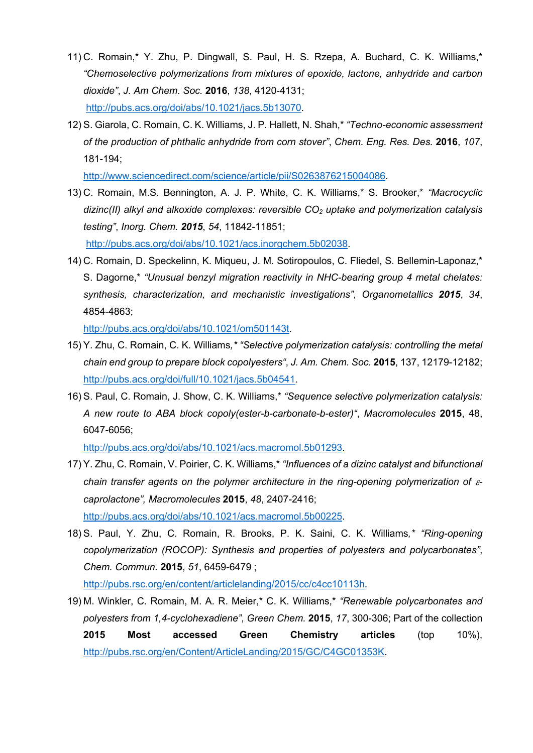- 11) C. Romain,\* Y. Zhu, P. Dingwall, S. Paul, H. S. Rzepa, A. Buchard, C. K. Williams,\* *"Chemoselective polymerizations from mixtures of epoxide, lactone, anhydride and carbon dioxide"*, *J. Am Chem. Soc.* **2016**, *138*, 4120-4131; http://pubs.acs.org/doi/abs/10.1021/jacs.5b13070.
- 12) S. Giarola, C. Romain, C. K. Williams, J. P. Hallett, N. Shah,\* *"Techno-economic assessment of the production of phthalic anhydride from corn stover"*, *Chem. Eng. Res. Des.* **2016**, *107*, 181-194;

http://www.sciencedirect.com/science/article/pii/S0263876215004086.

13) C. Romain, M.S. Bennington, A. J. P. White, C. K. Williams,\* S. Brooker,\* *"Macrocyclic dizinc(II) alkyl and alkoxide complexes: reversible CO2 uptake and polymerization catalysis testing"*, *Inorg. Chem. 2015*, *54*, 11842-11851;

http://pubs.acs.org/doi/abs/10.1021/acs.inorgchem.5b02038.

14) C. Romain, D. Speckelinn, K. Miqueu, J. M. Sotiropoulos, C. Fliedel, S. Bellemin-Laponaz,\* S. Dagorne,\* *"Unusual benzyl migration reactivity in NHC-bearing group 4 metal chelates: synthesis, characterization, and mechanistic investigations"*, *Organometallics 2015*, *34*, 4854-4863;

http://pubs.acs.org/doi/abs/10.1021/om501143t.

- 15) Y. Zhu, C. Romain, C. K. Williams*,\* "Selective polymerization catalysis: controlling the metal chain end group to prepare block copolyesters"*, *J. Am. Chem. Soc.* **2015**, 137, 12179-12182; http://pubs.acs.org/doi/full/10.1021/jacs.5b04541.
- 16) S. Paul, C. Romain, J. Show, C. K. Williams,\* *"Sequence selective polymerization catalysis: A new route to ABA block copoly(ester-b-carbonate-b-ester)"*, *Macromolecules* **2015**, 48, 6047-6056;

http://pubs.acs.org/doi/abs/10.1021/acs.macromol.5b01293.

- 17) Y. Zhu, C. Romain, V. Poirier, C. K. Williams,\* *"Influences of a dizinc catalyst and bifunctional chain transfer agents on the polymer architecture in the ring-opening polymerization of*  $\varepsilon$ *caprolactone", Macromolecules* **2015**, *48*, 2407-2416; http://pubs.acs.org/doi/abs/10.1021/acs.macromol.5b00225.
- 18) S. Paul, Y. Zhu, C. Romain, R. Brooks, P. K. Saini, C. K. Williams*,\* "Ring-opening copolymerization (ROCOP): Synthesis and properties of polyesters and polycarbonates"*, *Chem. Commun.* **2015**, *51*, 6459-6479 ; http://pubs.rsc.org/en/content/articlelanding/2015/cc/c4cc10113h.

19) M. Winkler, C. Romain, M. A. R. Meier,\* C. K. Williams,\* *"Renewable polycarbonates and polyesters from 1,4-cyclohexadiene"*, *Green Chem.* **2015**, *17*, 300-306; Part of the collection **2015 Most accessed Green Chemistry articles** (top 10%), http://pubs.rsc.org/en/Content/ArticleLanding/2015/GC/C4GC01353K.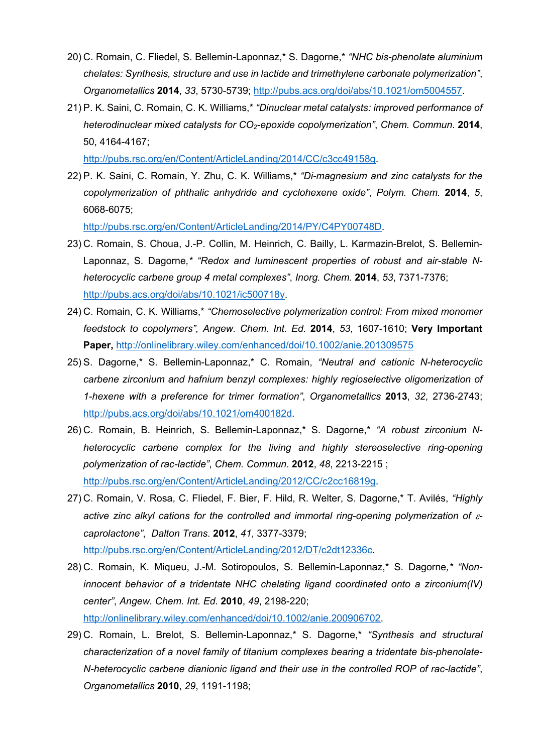- 20) C. Romain, C. Fliedel, S. Bellemin-Laponnaz,\* S. Dagorne,\* *"NHC bis-phenolate aluminium chelates: Synthesis, structure and use in lactide and trimethylene carbonate polymerization"*, *Organometallics* **2014**, *33*, 5730-5739; http://pubs.acs.org/doi/abs/10.1021/om5004557.
- 21) P. K. Saini, C. Romain, C. K. Williams,\* *"Dinuclear metal catalysts: improved performance of heterodinuclear mixed catalysts for CO2-epoxide copolymerization"*, *Chem. Commun*. **2014**, 50, 4164-4167;

http://pubs.rsc.org/en/Content/ArticleLanding/2014/CC/c3cc49158g.

22) P. K. Saini, C. Romain, Y. Zhu, C. K. Williams,\* *"Di-magnesium and zinc catalysts for the copolymerization of phthalic anhydride and cyclohexene oxide"*, *Polym. Chem.* **2014**, *5*, 6068-6075;

http://pubs.rsc.org/en/Content/ArticleLanding/2014/PY/C4PY00748D.

- 23) C. Romain, S. Choua, J.-P. Collin, M. Heinrich, C. Bailly, L. Karmazin-Brelot, S. Bellemin-Laponnaz, S. Dagorne*,\* "Redox and luminescent properties of robust and air-stable Nheterocyclic carbene group 4 metal complexes"*, *Inorg. Chem.* **2014**, *53*, 7371-7376; http://pubs.acs.org/doi/abs/10.1021/ic500718y.
- 24) C. Romain, C. K. Williams,\* *"Chemoselective polymerization control: From mixed monomer feedstock to copolymers", Angew. Chem. Int. Ed.* **2014**, *53*, 1607-1610; **Very Important Paper,** http://onlinelibrary.wiley.com/enhanced/doi/10.1002/anie.201309575
- 25) S. Dagorne,\* S. Bellemin-Laponnaz,\* C. Romain, *"Neutral and cationic N-heterocyclic carbene zirconium and hafnium benzyl complexes: highly regioselective oligomerization of 1-hexene with a preference for trimer formation"*, *Organometallics* **2013**, *32*, 2736-2743; http://pubs.acs.org/doi/abs/10.1021/om400182d.
- 26) C. Romain, B. Heinrich, S. Bellemin-Laponnaz,\* S. Dagorne,\* *"A robust zirconium Nheterocyclic carbene complex for the living and highly stereoselective ring-opening polymerization of rac-lactide"*, *Chem. Commun*. **2012**, *48*, 2213-2215 ; http://pubs.rsc.org/en/Content/ArticleLanding/2012/CC/c2cc16819g.
- 27) C. Romain, V. Rosa, C. Fliedel, F. Bier, F. Hild, R. Welter, S. Dagorne,\* T. Avilés, *"Highly*  active zinc alkyl cations for the controlled and immortal ring-opening polymerization of  $\varepsilon$ *caprolactone"*, *Dalton Trans*. **2012**, *41*, 3377-3379;

http://pubs.rsc.org/en/Content/ArticleLanding/2012/DT/c2dt12336c.

28) C. Romain, K. Miqueu, J.-M. Sotiropoulos, S. Bellemin-Laponnaz,\* S. Dagorne*,\* "Noninnocent behavior of a tridentate NHC chelating ligand coordinated onto a zirconium(IV) center"*, *Angew. Chem. Int. Ed.* **2010**, *49*, 2198-220;

http://onlinelibrary.wiley.com/enhanced/doi/10.1002/anie.200906702.

29) C. Romain, L. Brelot, S. Bellemin-Laponnaz,\* S. Dagorne,\* *"Synthesis and structural characterization of a novel family of titanium complexes bearing a tridentate bis-phenolate-N-heterocyclic carbene dianionic ligand and their use in the controlled ROP of rac-lactide"*, *Organometallics* **2010**, *29*, 1191-1198;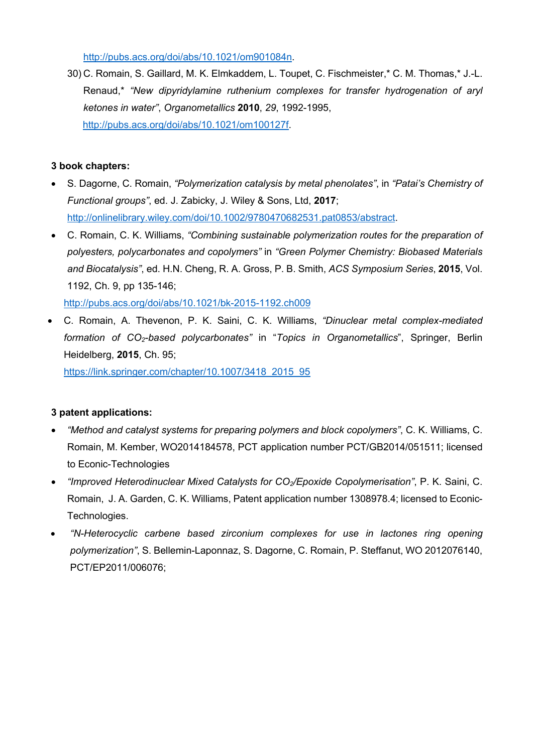http://pubs.acs.org/doi/abs/10.1021/om901084n.

30) C. Romain, S. Gaillard, M. K. Elmkaddem, L. Toupet, C. Fischmeister,\* C. M. Thomas,\* J.-L. Renaud,\* *"New dipyridylamine ruthenium complexes for transfer hydrogenation of aryl ketones in water"*, *Organometallics* **2010**, *29*, 1992-1995, http://pubs.acs.org/doi/abs/10.1021/om100127f.

## **3 book chapters:**

- S. Dagorne, C. Romain, *"Polymerization catalysis by metal phenolates"*, in *"Patai's Chemistry of Functional groups"*, ed. J. Zabicky, J. Wiley & Sons, Ltd, **2017**; http://onlinelibrary.wiley.com/doi/10.1002/9780470682531.pat0853/abstract.
- C. Romain, C. K. Williams, *"Combining sustainable polymerization routes for the preparation of polyesters, polycarbonates and copolymers"* in *"Green Polymer Chemistry: Biobased Materials and Biocatalysis"*, ed. H.N. Cheng, R. A. Gross, P. B. Smith, *ACS Symposium Series*, **2015**, Vol. 1192, Ch. 9, pp 135-146;

http://pubs.acs.org/doi/abs/10.1021/bk-2015-1192.ch009

• C. Romain, A. Thevenon, P. K. Saini, C. K. Williams, *"Dinuclear metal complex-mediated formation of CO2-based polycarbonates"* in "*Topics in Organometallics*", Springer, Berlin Heidelberg, **2015**, Ch. 95;

https://link.springer.com/chapter/10.1007/3418\_2015\_95

# **3 patent applications:**

- *"Method and catalyst systems for preparing polymers and block copolymers"*, C. K. Williams, C. Romain, M. Kember, WO2014184578, PCT application number PCT/GB2014/051511; licensed to Econic-Technologies
- *"Improved Heterodinuclear Mixed Catalysts for CO2/Epoxide Copolymerisation"*, P. K. Saini, C. Romain, J. A. Garden, C. K. Williams, Patent application number 1308978.4; licensed to Econic-Technologies.
- *"N-Heterocyclic carbene based zirconium complexes for use in lactones ring opening polymerization"*, S. Bellemin-Laponnaz, S. Dagorne, C. Romain, P. Steffanut, WO 2012076140, PCT/EP2011/006076;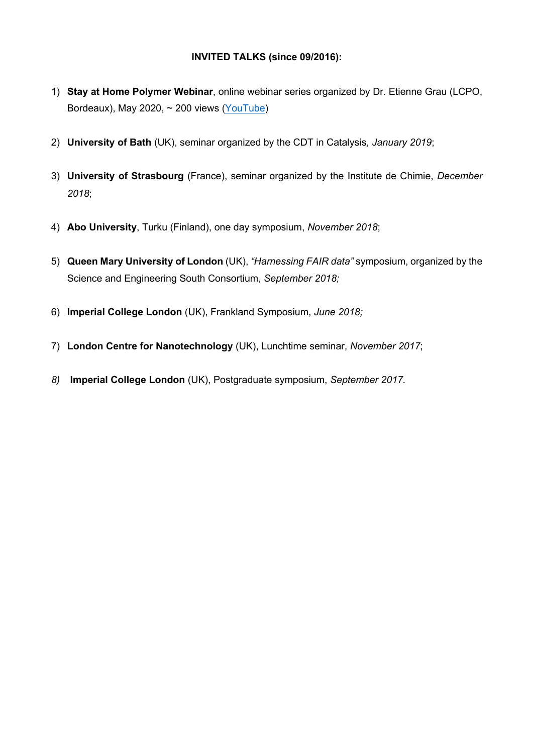# **INVITED TALKS (since 09/2016):**

- 1) **Stay at Home Polymer Webinar**, online webinar series organized by Dr. Etienne Grau (LCPO, Bordeaux), May 2020,  $\sim$  200 views (YouTube)
- 2) **University of Bath** (UK), seminar organized by the CDT in Catalysis*, January 2019*;
- 3) **University of Strasbourg** (France), seminar organized by the Institute de Chimie, *December 2018*;
- 4) **Abo University**, Turku (Finland), one day symposium, *November 2018*;
- 5) **Queen Mary University of London** (UK), *"Harnessing FAIR data"* symposium, organized by the Science and Engineering South Consortium, *September 2018;*
- 6) **Imperial College London** (UK), Frankland Symposium, *June 2018;*
- 7) **London Centre for Nanotechnology** (UK), Lunchtime seminar, *November 2017*;
- *8)* **Imperial College London** (UK), Postgraduate symposium, *September 2017.*